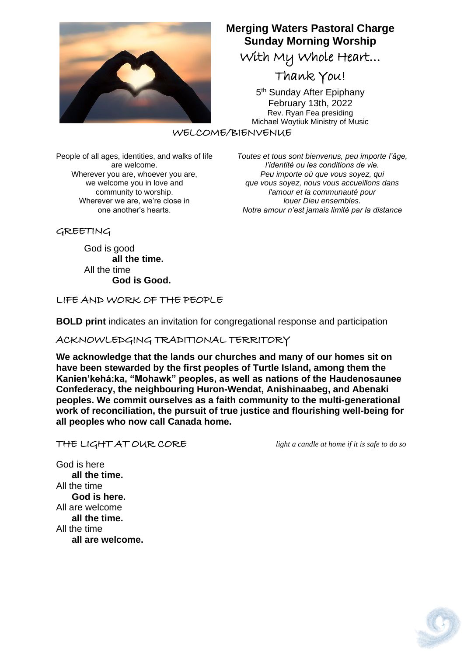

## **Merging Waters Pastoral Charge Sunday Morning Worship**

With My Whole Heart…

# Thank You!

5<sup>th</sup> Sunday After Epiphany February 13th, 2022 Rev. Ryan Fea presiding Michael Woytiuk Ministry of Music

WELCOME/BIENVENUE

People of all ages, identities, and walks of life are welcome. Wherever you are, whoever you are, we welcome you in love and community to worship. Wherever we are, we're close in one another's hearts.

*Toutes et tous sont bienvenus, peu importe l'âge, l'identité ou les conditions de vie. Peu importe où que vous soyez, qui que vous soyez, nous vous accueillons dans l'amour et la communauté pour louer Dieu ensembles. Notre amour n'est jamais limité par la distance*

GREETING

God is good **all the time.** All the time **God is Good.**

LIFE AND WORK OF THE PEOPLE

**BOLD print** indicates an invitation for congregational response and participation

ACKNOWLEDGING TRADITIONAL TERRITORY

**We acknowledge that the lands our churches and many of our homes sit on have been stewarded by the first peoples of Turtle Island, among them the Kanien'kehá:ka, "Mohawk" peoples, as well as nations of the Haudenosaunee Confederacy, the neighbouring Huron-Wendat, Anishinaabeg, and Abenaki peoples. We commit ourselves as a faith community to the multi-generational work of reconciliation, the pursuit of true justice and flourishing well-being for all peoples who now call Canada home.**

THE LIGHT AT OUR CORE *light a candle at home if it is safe to do so*

God is here  **all the time.** All the time  **God is here.** All are welcome  **all the time.** All the time  **all are welcome.**

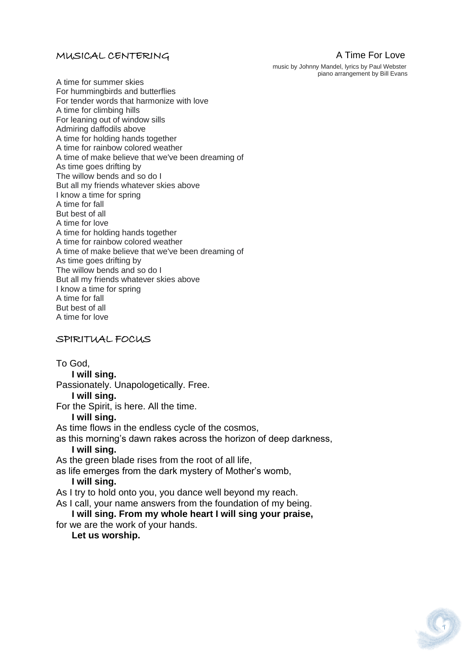#### MUSICAL CENTERING A Time For Love

 music by Johnny Mandel, lyrics by Paul Webster piano arrangement by Bill Evans

A time for summer skies For hummingbirds and butterflies For tender words that harmonize with love A time for climbing hills For leaning out of window sills Admiring daffodils above A time for holding hands together A time for rainbow colored weather A time of make believe that we've been dreaming of As time goes drifting by The willow bends and so do I But all my friends whatever skies above I know a time for spring A time for fall But best of all A time for love A time for holding hands together A time for rainbow colored weather A time of make believe that we've been dreaming of As time goes drifting by The willow bends and so do I But all my friends whatever skies above I know a time for spring A time for fall But best of all A time for love

#### SPIRITUAL FOCUS

To God,  **I will sing.** Passionately. Unapologetically. Free. **I will sing.** For the Spirit, is here. All the time.  **I will sing.** As time flows in the endless cycle of the cosmos, as this morning's dawn rakes across the horizon of deep darkness,  **I will sing.** As the green blade rises from the root of all life, as life emerges from the dark mystery of Mother's womb,  **I will sing.** As I try to hold onto you, you dance well beyond my reach. As I call, your name answers from the foundation of my being.  **I will sing. From my whole heart I will sing your praise,** for we are the work of your hands.

 **Let us worship.**

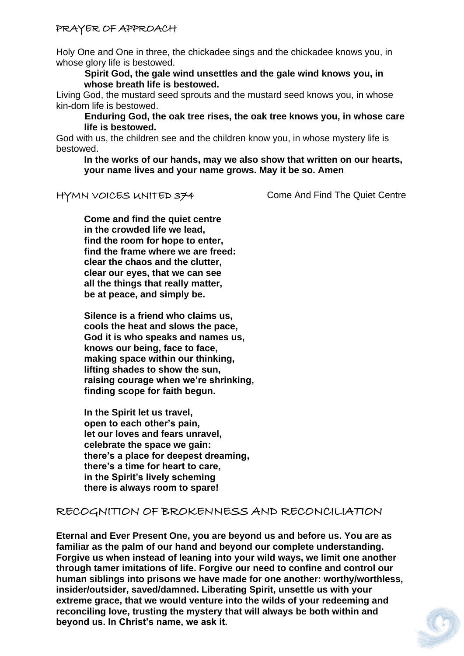#### PRAYER OF APPROACH

Holy One and One in three, the chickadee sings and the chickadee knows you, in whose glory life is bestowed.

 **Spirit God, the gale wind unsettles and the gale wind knows you, in whose breath life is bestowed.**

Living God, the mustard seed sprouts and the mustard seed knows you, in whose kin-dom life is bestowed.

#### **Enduring God, the oak tree rises, the oak tree knows you, in whose care life is bestowed.**

God with us, the children see and the children know you, in whose mystery life is bestowed.

**In the works of our hands, may we also show that written on our hearts, your name lives and your name grows. May it be so. Amen**

HYMN VOICES UNITED 374 Come And Find The Quiet Centre

**Come and find the quiet centre in the crowded life we lead, find the room for hope to enter, find the frame where we are freed: clear the chaos and the clutter, clear our eyes, that we can see all the things that really matter, be at peace, and simply be.**

**Silence is a friend who claims us, cools the heat and slows the pace, God it is who speaks and names us, knows our being, face to face, making space within our thinking, lifting shades to show the sun, raising courage when we're shrinking, finding scope for faith begun.**

**In the Spirit let us travel, open to each other's pain, let our loves and fears unravel, celebrate the space we gain: there's a place for deepest dreaming, there's a time for heart to care, in the Spirit's lively scheming there is always room to spare!**

#### RECOGNITION OF BROKENNESS AND RECONCILIATION

**Eternal and Ever Present One, you are beyond us and before us. You are as familiar as the palm of our hand and beyond our complete understanding. Forgive us when instead of leaning into your wild ways, we limit one another through tamer imitations of life. Forgive our need to confine and control our human siblings into prisons we have made for one another: worthy/worthless, insider/outsider, saved/damned. Liberating Spirit, unsettle us with your extreme grace, that we would venture into the wilds of your redeeming and reconciling love, trusting the mystery that will always be both within and beyond us. In Christ's name, we ask it.**

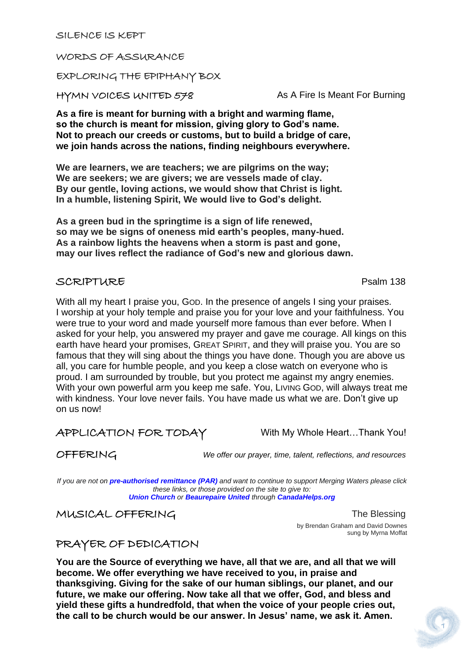SILENCE IS KEPT

WORDS OF ASSURANCE

EXPLORING THE EPIPHANY BOX

HYMN VOICES UNITED 578 As A Fire Is Meant For Burning

**As a fire is meant for burning with a bright and warming flame, so the church is meant for mission, giving glory to God's name. Not to preach our creeds or customs, but to build a bridge of care, we join hands across the nations, finding neighbours everywhere.**

**We are learners, we are teachers; we are pilgrims on the way; We are seekers; we are givers; we are vessels made of clay. By our gentle, loving actions, we would show that Christ is light. In a humble, listening Spirit, We would live to God's delight.**

**As a green bud in the springtime is a sign of life renewed, so may we be signs of oneness mid earth's peoples, many-hued. As a rainbow lights the heavens when a storm is past and gone, may our lives reflect the radiance of God's new and glorious dawn.**

#### SCRIPTURE<br>
Psalm 138

With all my heart I praise you, GOD. In the presence of angels I sing your praises. I worship at your holy temple and praise you for your love and your faithfulness. You were true to your word and made yourself more famous than ever before. When I asked for your help, you answered my prayer and gave me courage. All kings on this earth have heard your promises, GREAT SPIRIT, and they will praise you. You are so famous that they will sing about the things you have done. Though you are above us all, you care for humble people, and you keep a close watch on everyone who is proud. I am surrounded by trouble, but you protect me against my angry enemies. With your own powerful arm you keep me safe. You, Living God, will always treat me with kindness. Your love never fails. You have made us what we are. Don't give up on us now!

APPLICATION FOR TODAY With My Whole Heart...Thank You!

OFFERING *We offer our prayer, time, talent, reflections, and resources*

*If you are not on pre-authorised [remittance \(PAR\)](http://mergingwaters.ca/mt-content/uploads/2020/03/form_par-authorization.pdf) and want to continue to support Merging Waters please click these links, or those provided on the site to give to: [Union Church](https://www.canadahelps.org/en/charities/union-church-ste-anne-de-bellevue/) o[r](https://www.canadahelps.org/en/charities/beaurepaire-united-church/) [Beaurepaire United](https://www.canadahelps.org/en/charities/beaurepaire-united-church/) through [CanadaHelps.org](http://www.canadahelps.org/)*

MUSICAL OFFERING THE BIESSING

 by Brendan Graham and David Downes sung by Myrna Moffat

#### PRAYER OF DEDICATION

**You are the Source of everything we have, all that we are, and all that we will become. We offer everything we have received to you, in praise and thanksgiving. Giving for the sake of our human siblings, our planet, and our future, we make our offering. Now take all that we offer, God, and bless and yield these gifts a hundredfold, that when the voice of your people cries out, the call to be church would be our answer. In Jesus' name, we ask it. Amen.**

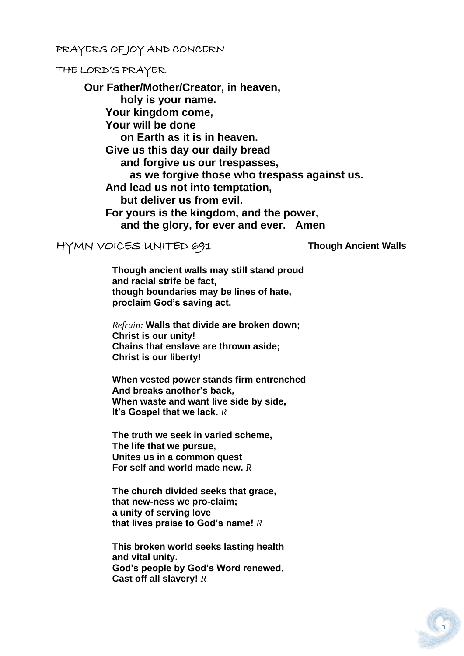PRAYERS OF JOY AND CONCERN

#### THE LORD'S PRAYER

**Our Father/Mother/Creator, in heaven, holy is your name. Your kingdom come, Your will be done on Earth as it is in heaven. Give us this day our daily bread and forgive us our trespasses, as we forgive those who trespass against us. And lead us not into temptation, but deliver us from evil. For yours is the kingdom, and the power, and the glory, for ever and ever. Amen**

### HYMN VOICES UNITED 691 **Though Ancient Walls**

**Though ancient walls may still stand proud and racial strife be fact, though boundaries may be lines of hate, proclaim God's saving act.**

*Refrain:* **Walls that divide are broken down; Christ is our unity! Chains that enslave are thrown aside; Christ is our liberty!**

**When vested power stands firm entrenched And breaks another's back, When waste and want live side by side, It's Gospel that we lack.** *R*

**The truth we seek in varied scheme, The life that we pursue, Unites us in a common quest For self and world made new.** *R*

**The church divided seeks that grace, that new-ness we pro-claim; a unity of serving love that lives praise to God's name!** *R*

**This broken world seeks lasting health and vital unity. God's people by God's Word renewed, Cast off all slavery!** *R*

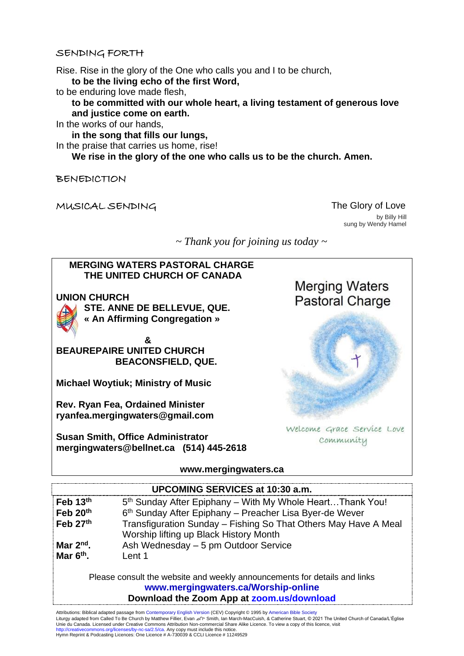#### SENDING FORTH

Rise. Rise in the glory of the One who calls you and I to be church,  **to be the living echo of the first Word,**

to be enduring love made flesh,

 **to be committed with our whole heart, a living testament of generous love and justice come on earth.**

In the works of our hands,

 **in the song that fills our lungs,** In the praise that carries us home, rise!

 **We rise in the glory of the one who calls us to be the church. Amen.**

BENEDICTION

MUSICAL SENDINGThe Glory of Love

 by Billy Hill sung by Wendy Hamel

*~ Thank you for joining us today ~*

#### **MERGING WATERS PASTORAL CHARGE THE UNITED CHURCH OF CANADA**

**UNION CHURCH**

**STE. ANNE DE BELLEVUE, QUE. « An Affirming Congregation »** 

 **& BEAUREPAIRE UNITED CHURCH BEACONSFIELD, QUE.**

**Michael Woytiuk; Ministry of Music**

**Rev. Ryan Fea, Ordained Minister [ryanfea.mergingwaters@gmail.com](mailto:ryanfea.mergingwaters@gmail.com)** 

**Susan Smith, Office Administrator [mergingwaters@bellnet.ca](mailto:mergingwaters@bellnet.ca) (514) 445-2618** **Merging Waters** Pastoral Charge



**[www.mergingwaters.ca](http://www.mergingwaters.ca/)**

# **UPCOMING SERVICES at 10:30 a.m.**

| Feb $13th$                           | 5 <sup>th</sup> Sunday After Epiphany – With My Whole HeartThank You!                                     |
|--------------------------------------|-----------------------------------------------------------------------------------------------------------|
| Feb 20th                             | 6 <sup>th</sup> Sunday After Epiphany – Preacher Lisa Byer-de Wever                                       |
| Feb $27th$                           | Transfiguration Sunday – Fishing So That Others May Have A Meal<br>Worship lifting up Black History Month |
| Mar $2nd$ .<br>Mar 6 <sup>th</sup> . | Ash Wednesday – 5 pm Outdoor Service<br>Lent 1                                                            |

Please consult the website and weekly announcements for details and links **[www.mergingwaters.ca/Worship-online](http://www.mergingwaters.ca/Worship-online) Download the Zoom App at [zoom.us/download](file:///C:/Users/Merging%20Waters%20Rev/Downloads/past%20services/Sept%2020th%202020/zoom.us/download)**